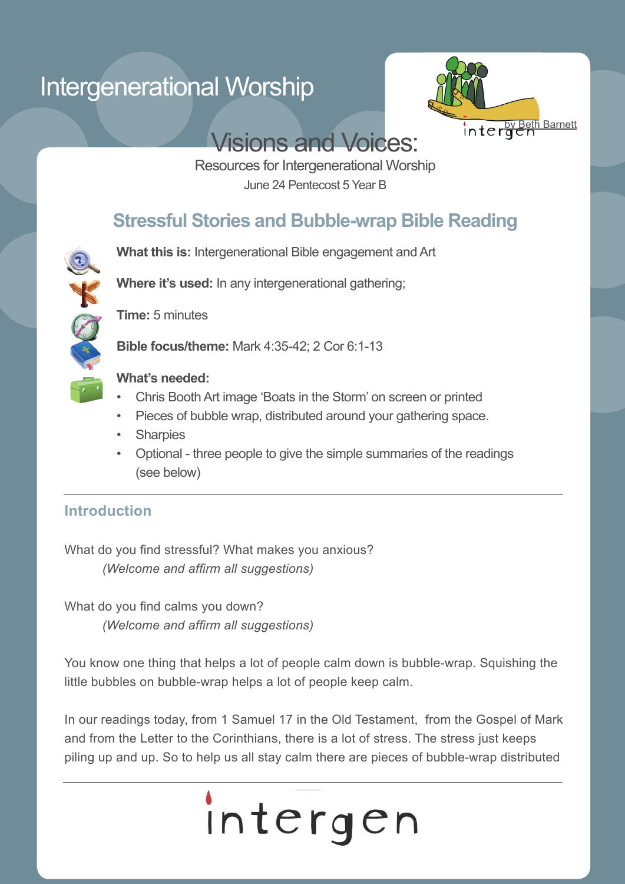# Intergenerational Worship



## Visions and Voices:

Resources for Intergenerational Worship June 24 Pentecost 5 Year B

## **Stressful Stories and Bubble-wrap Bible Reading**

**What this is:** Intergenerational Bible engagement and Art

**Where it's used:** In any intergenerational gathering;



**Time:** 5 minutes

**Bible focus/theme:** Mark 4:35-42; 2 Cor 6:1-13

### **What's needed:**

- Chris Booth Art image 'Boats in the Storm' on screen or printed
- Pieces of bubble wrap, distributed around your gathering space.
- **Sharpies**
- Optional three people to give the simple summaries of the readings (see below)

### **Introduction**

What do you find stressful? What makes you anxious?  *(Welcome and affirm all suggestions)*

What do you find calms you down?  *(Welcome and affirm all suggestions)*

You know one thing that helps a lot of people calm down is bubble-wrap. Squishing the little bubbles on bubble-wrap helps a lot of people keep calm.

In our readings today, from 1 Samuel 17 in the Old Testament, from the Gospel of Mark and from the Letter to the Corinthians, there is a lot of stress. The stress just keeps piling up and up. So to help us all stay calm there are pieces of bubble-wrap distributed

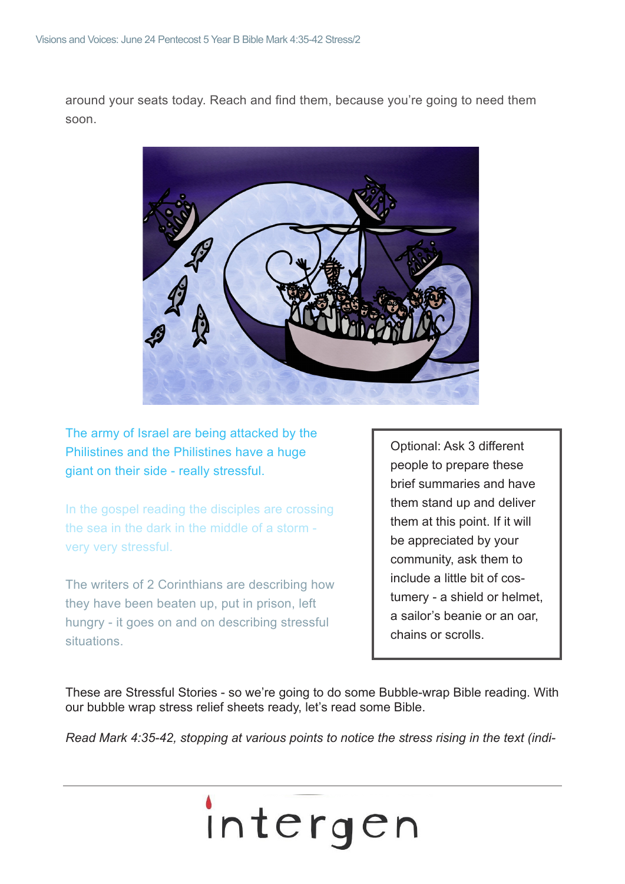around your seats today. Reach and find them, because you're going to need them soon.



The army of Israel are being attacked by the Philistines and the Philistines have a huge giant on their side - really stressful.

In the gospel reading the disciples are crossing the sea in the dark in the middle of a storm very very stressful.

The writers of 2 Corinthians are describing how they have been beaten up, put in prison, left hungry - it goes on and on describing stressful situations.

Optional: Ask 3 different people to prepare these brief summaries and have them stand up and deliver them at this point. If it will be appreciated by your community, ask them to include a little bit of costumery - a shield or helmet, a sailor's beanie or an oar, chains or scrolls.

These are Stressful Stories - so we're going to do some Bubble-wrap Bible reading. With our bubble wrap stress relief sheets ready, let's read some Bible.

*Read Mark 4:35-42, stopping at various points to notice the stress rising in the text (indi-*

# intergen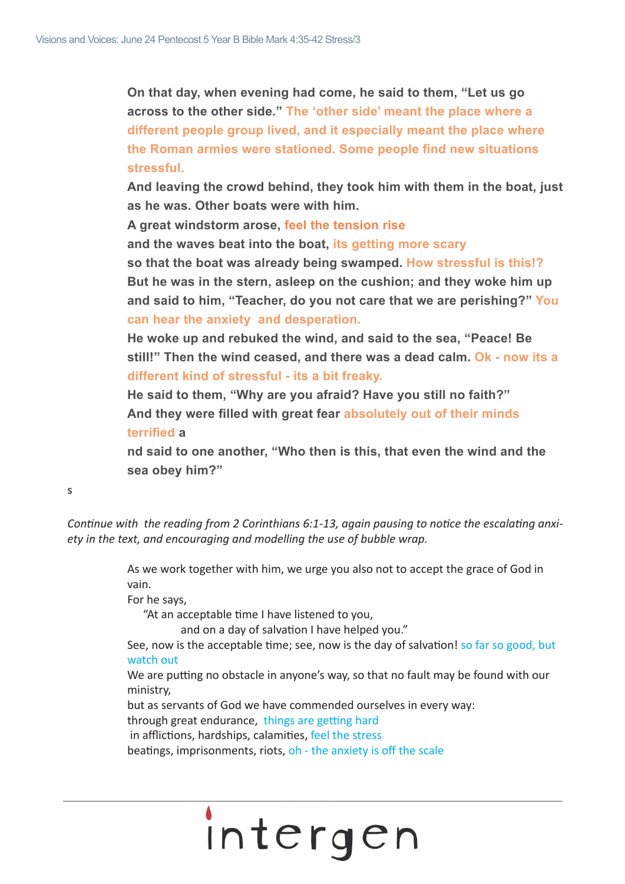**On that day, when evening had come, he said to them, "Let us go across to the other side." The 'other side' meant the place where a different people group lived, and it especially meant the place where the Roman armies were stationed. Some people find new situations stressful.** 

**And leaving the crowd behind, they took him with them in the boat, just as he was. Other boats were with him.** 

**A great windstorm arose, feel the tension rise** 

**and the waves beat into the boat, its getting more scary** 

**so that the boat was already being swamped. How stressful is this!? But he was in the stern, asleep on the cushion; and they woke him up and said to him, "Teacher, do you not care that we are perishing?" You can hear the anxiety and desperation.**

**He woke up and rebuked the wind, and said to the sea, "Peace! Be still!" Then the wind ceased, and there was a dead calm. Ok - now its a different kind of stressful - its a bit freaky.**

**He said to them, "Why are you afraid? Have you still no faith?" And they were filled with great fear absolutely out of their minds terrified a**

**nd said to one another, "Who then is this, that even the wind and the sea obey him?"**

**s**

*Continue with the reading from 2 Corinthians 6:1-13, again pausing to notice the escalating anxiety in the text, and encouraging and modelling the use of bubble wrap.* 

> As we work together with him, we urge you also not to accept the grace of God in vain.

For he says,

 "At an acceptable time I have listened to you,

 and on a day of salvation I have helped you."

See, now is the acceptable time; see, now is the day of salvation! so far so good, but watch out

We are putting no obstacle in anyone's way, so that no fault may be found with our ministry,

but as servants of God we have commended ourselves in every way:

through great endurance, things are getting hard

in afflictions, hardships, calamities, feel the stress

beatings, imprisonments, riots, oh - the anxiety is off the scale

# intergen